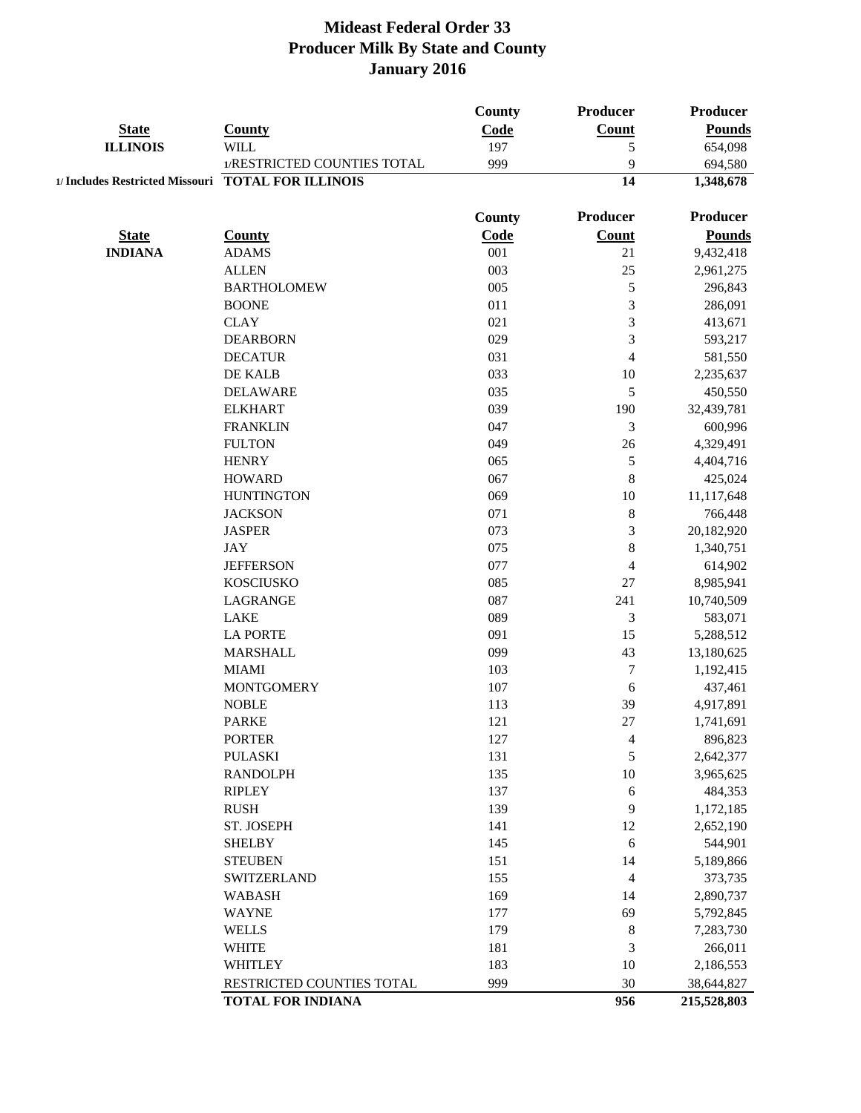|                                                    |                             | County | Producer                 | <b>Producer</b> |
|----------------------------------------------------|-----------------------------|--------|--------------------------|-----------------|
| <b>State</b>                                       | <b>County</b>               | Code   | <b>Count</b>             | <b>Pounds</b>   |
| <b>ILLINOIS</b>                                    | <b>WILL</b>                 | 197    | 5                        | 654,098         |
|                                                    | 1/RESTRICTED COUNTIES TOTAL | 999    | 9                        | 694,580         |
| 1/ Includes Restricted Missouri TOTAL FOR ILLINOIS |                             |        | 14                       | 1,348,678       |
|                                                    |                             | County | Producer                 | <b>Producer</b> |
| <b>State</b>                                       | <b>County</b>               | Code   | <b>Count</b>             | <b>Pounds</b>   |
| <b>INDIANA</b>                                     | <b>ADAMS</b>                | 001    | 21                       | 9,432,418       |
|                                                    | <b>ALLEN</b>                | 003    | 25                       | 2,961,275       |
|                                                    | <b>BARTHOLOMEW</b>          | 005    | 5                        | 296,843         |
|                                                    | <b>BOONE</b>                | 011    | $\overline{3}$           | 286,091         |
|                                                    | <b>CLAY</b>                 | 021    | 3                        | 413,671         |
|                                                    | <b>DEARBORN</b>             | 029    | 3                        | 593,217         |
|                                                    | <b>DECATUR</b>              | 031    | 4                        | 581,550         |
|                                                    | DE KALB                     | 033    | $10\,$                   | 2,235,637       |
|                                                    | <b>DELAWARE</b>             | 035    | 5                        | 450,550         |
|                                                    | <b>ELKHART</b>              | 039    | 190                      | 32,439,781      |
|                                                    | <b>FRANKLIN</b>             | 047    | $\mathfrak{Z}$           | 600,996         |
|                                                    | <b>FULTON</b>               | 049    | 26                       | 4,329,491       |
|                                                    | <b>HENRY</b>                | 065    | 5                        | 4,404,716       |
|                                                    | <b>HOWARD</b>               | 067    | $\,8\,$                  | 425,024         |
|                                                    | <b>HUNTINGTON</b>           | 069    | $10\,$                   | 11,117,648      |
|                                                    | <b>JACKSON</b>              | 071    | $\,8\,$                  | 766,448         |
|                                                    | <b>JASPER</b>               | 073    | $\mathfrak{Z}$           | 20,182,920      |
|                                                    | <b>JAY</b>                  | 075    | $\,8\,$                  | 1,340,751       |
|                                                    | <b>JEFFERSON</b>            | 077    | $\overline{\mathbf{4}}$  | 614,902         |
|                                                    | <b>KOSCIUSKO</b>            | 085    | $27\,$                   | 8,985,941       |
|                                                    | LAGRANGE                    | 087    | 241                      | 10,740,509      |
|                                                    | <b>LAKE</b>                 | 089    | 3                        | 583,071         |
|                                                    | <b>LA PORTE</b>             | 091    | 15                       | 5,288,512       |
|                                                    | <b>MARSHALL</b>             | 099    | 43                       | 13,180,625      |
|                                                    | <b>MIAMI</b>                | 103    | $\tau$                   | 1,192,415       |
|                                                    | <b>MONTGOMERY</b>           | 107    | 6                        | 437,461         |
|                                                    | <b>NOBLE</b>                | 113    | 39                       | 4,917,891       |
|                                                    | <b>PARKE</b>                | 121    | 27                       | 1,741,691       |
|                                                    | <b>PORTER</b>               | 127    | $\overline{\mathcal{A}}$ | 896,823         |
|                                                    | <b>PULASKI</b>              | 131    | 5                        | 2,642,377       |
|                                                    | <b>RANDOLPH</b>             | 135    | 10                       | 3,965,625       |
|                                                    | <b>RIPLEY</b>               | 137    | $\sqrt{6}$               | 484,353         |
|                                                    | <b>RUSH</b>                 | 139    | 9                        | 1,172,185       |
|                                                    | ST. JOSEPH                  | 141    | 12                       | 2,652,190       |
|                                                    | <b>SHELBY</b>               | 145    | $\sqrt{6}$               | 544,901         |
|                                                    | <b>STEUBEN</b>              | 151    | 14                       | 5,189,866       |
|                                                    | SWITZERLAND                 | 155    | $\overline{4}$           | 373,735         |
|                                                    | <b>WABASH</b>               | 169    | 14                       | 2,890,737       |
|                                                    | <b>WAYNE</b>                | 177    | 69                       | 5,792,845       |
|                                                    | <b>WELLS</b>                | 179    | $\,8\,$                  | 7,283,730       |
|                                                    | <b>WHITE</b>                | 181    | $\mathfrak{Z}$           | 266,011         |
|                                                    | <b>WHITLEY</b>              | 183    | 10                       | 2,186,553       |
|                                                    | RESTRICTED COUNTIES TOTAL   | 999    | 30                       | 38,644,827      |
|                                                    | <b>TOTAL FOR INDIANA</b>    |        | 956                      | 215,528,803     |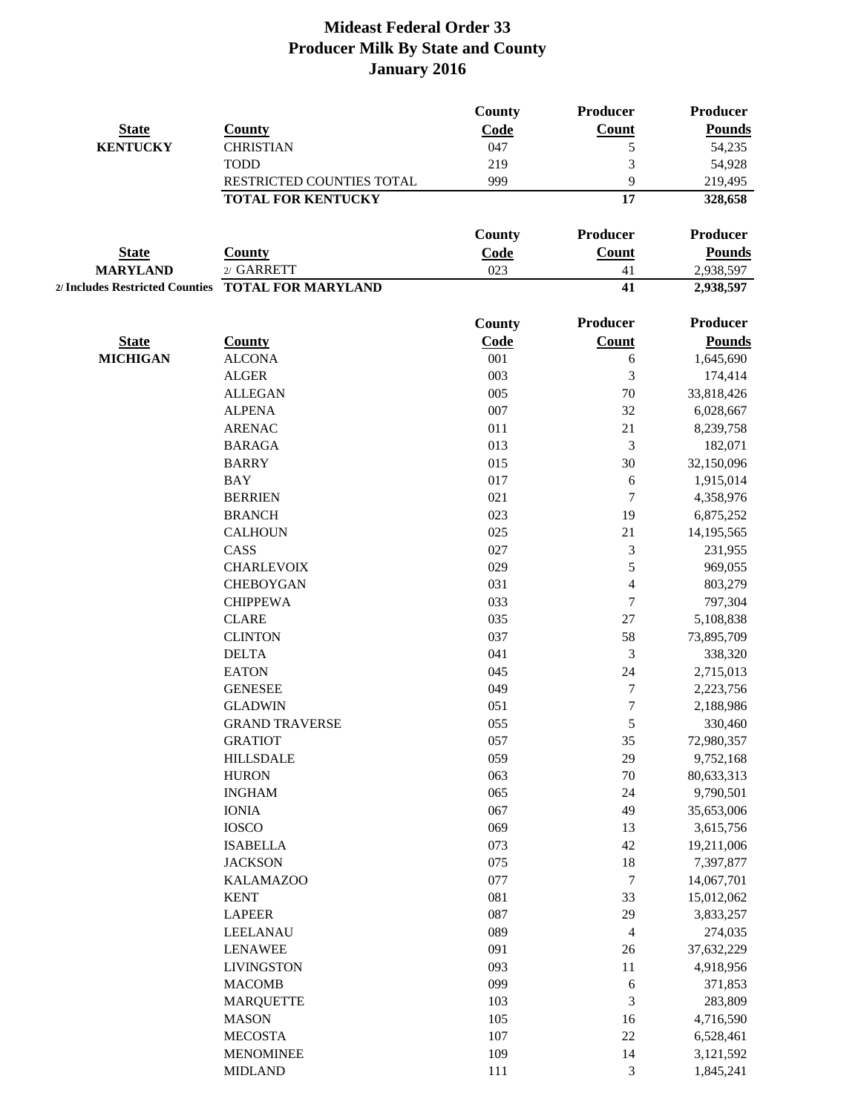|                                 |                           | <b>County</b> | Producer         | <b>Producer</b> |
|---------------------------------|---------------------------|---------------|------------------|-----------------|
| <b>State</b>                    | <b>County</b>             | Code          | Count            | <b>Pounds</b>   |
| <b>KENTUCKY</b>                 | <b>CHRISTIAN</b>          | 047           | 5                | 54,235          |
|                                 | <b>TODD</b>               | 219           | 3                | 54,928          |
|                                 | RESTRICTED COUNTIES TOTAL | 999           | 9                | 219,495         |
|                                 | <b>TOTAL FOR KENTUCKY</b> |               | 17               | 328,658         |
|                                 |                           | County        | Producer         | <b>Producer</b> |
| <b>State</b>                    | <b>County</b>             | Code          | <b>Count</b>     | <b>Pounds</b>   |
| <b>MARYLAND</b>                 | 2/ GARRETT                | 023           | 41               | 2,938,597       |
| 2/ Includes Restricted Counties | <b>TOTAL FOR MARYLAND</b> |               | 41               | 2,938,597       |
|                                 |                           | <b>County</b> | Producer         | <b>Producer</b> |
| <b>State</b>                    | <b>County</b>             | Code          | Count            | <b>Pounds</b>   |
| <b>MICHIGAN</b>                 | <b>ALCONA</b>             | 001           | 6                | 1,645,690       |
|                                 | <b>ALGER</b>              | 003           | 3                | 174,414         |
|                                 | <b>ALLEGAN</b>            | 005           | 70               | 33,818,426      |
|                                 | <b>ALPENA</b>             | 007           | 32               |                 |
|                                 | <b>ARENAC</b>             | 011           | 21               | 6,028,667       |
|                                 | <b>BARAGA</b>             | 013           | 3                | 8,239,758       |
|                                 |                           | 015           | 30               | 182,071         |
|                                 | <b>BARRY</b>              |               |                  | 32,150,096      |
|                                 | <b>BAY</b>                | 017           | 6                | 1,915,014       |
|                                 | <b>BERRIEN</b>            | 021           | 7                | 4,358,976       |
|                                 | <b>BRANCH</b>             | 023           | 19               | 6,875,252       |
|                                 | <b>CALHOUN</b>            | 025           | 21               | 14,195,565      |
|                                 | CASS                      | 027           | $\mathfrak{Z}$   | 231,955         |
|                                 | <b>CHARLEVOIX</b>         | 029           | 5                | 969,055         |
|                                 | <b>CHEBOYGAN</b>          | 031           | $\overline{4}$   | 803,279         |
|                                 | <b>CHIPPEWA</b>           | 033           | 7                | 797,304         |
|                                 | <b>CLARE</b>              | 035           | 27               | 5,108,838       |
|                                 | <b>CLINTON</b>            | 037           | 58               | 73,895,709      |
|                                 | <b>DELTA</b>              | 041           | 3                | 338,320         |
|                                 | <b>EATON</b>              | 045           | 24               | 2,715,013       |
|                                 | <b>GENESEE</b>            | 049           | $\boldsymbol{7}$ | 2,223,756       |
|                                 | <b>GLADWIN</b>            | 051           | 7                | 2,188,986       |
|                                 | <b>GRAND TRAVERSE</b>     | 055           | 5                | 330,460         |
|                                 | <b>GRATIOT</b>            | 057           | 35               | 72,980,357      |
|                                 | <b>HILLSDALE</b>          | 059           | 29               | 9,752,168       |
|                                 | <b>HURON</b>              | 063           | 70               | 80,633,313      |
|                                 | <b>INGHAM</b>             | 065           | 24               | 9,790,501       |
|                                 | <b>IONIA</b>              | 067           | 49               | 35,653,006      |
|                                 | <b>IOSCO</b>              | 069           | 13               | 3,615,756       |
|                                 | <b>ISABELLA</b>           | 073           | 42               | 19,211,006      |
|                                 | <b>JACKSON</b>            | 075           | 18               | 7,397,877       |
|                                 | <b>KALAMAZOO</b>          | 077           | $\boldsymbol{7}$ | 14,067,701      |
|                                 | <b>KENT</b>               | 081           | 33               | 15,012,062      |
|                                 | <b>LAPEER</b>             | 087           | 29               | 3,833,257       |
|                                 | LEELANAU                  | 089           | $\overline{4}$   | 274,035         |
|                                 | <b>LENAWEE</b>            | 091           | 26               | 37,632,229      |
|                                 | <b>LIVINGSTON</b>         | 093           | 11               | 4,918,956       |
|                                 | <b>MACOMB</b>             | 099           | 6                | 371,853         |
|                                 | <b>MARQUETTE</b>          | 103           | 3                | 283,809         |
|                                 | <b>MASON</b>              | 105           | 16               | 4,716,590       |
|                                 | <b>MECOSTA</b>            | 107           | $22\,$           | 6,528,461       |
|                                 | <b>MENOMINEE</b>          | 109           | 14               | 3,121,592       |
|                                 | <b>MIDLAND</b>            | 111           | $\mathfrak{Z}$   | 1,845,241       |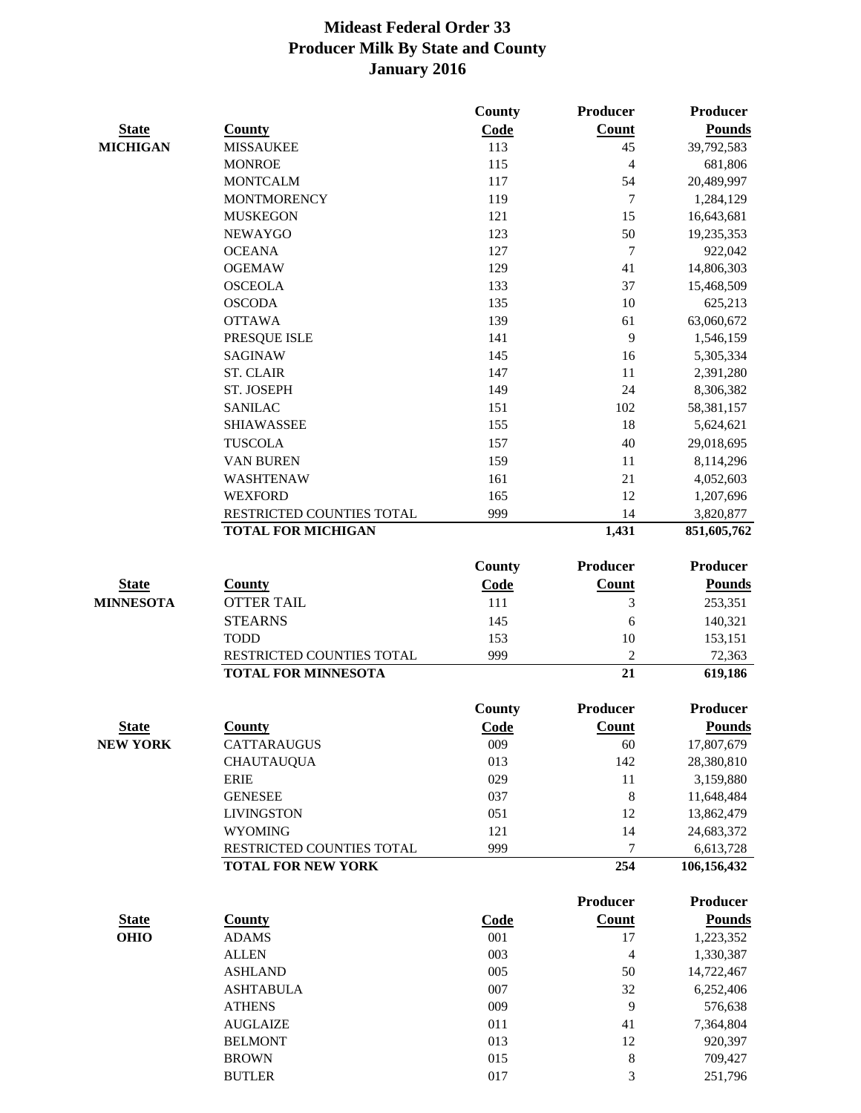|                  |                            | <b>County</b> | <b>Producer</b> | <b>Producer</b> |
|------------------|----------------------------|---------------|-----------------|-----------------|
| <b>State</b>     | <b>County</b>              | Code          | Count           | <b>Pounds</b>   |
| <b>MICHIGAN</b>  | <b>MISSAUKEE</b>           | 113           | 45              | 39,792,583      |
|                  | <b>MONROE</b>              | 115           | $\overline{4}$  | 681,806         |
|                  | <b>MONTCALM</b>            | 117           | 54              | 20,489,997      |
|                  | <b>MONTMORENCY</b>         | 119           | 7               | 1,284,129       |
|                  | <b>MUSKEGON</b>            | 121           | 15              | 16,643,681      |
|                  | <b>NEWAYGO</b>             | 123           | 50              | 19,235,353      |
|                  | <b>OCEANA</b>              | 127           | $\overline{7}$  | 922,042         |
|                  | <b>OGEMAW</b>              | 129           | 41              | 14,806,303      |
|                  | <b>OSCEOLA</b>             | 133           | 37              | 15,468,509      |
|                  | <b>OSCODA</b>              | 135           | 10              | 625,213         |
|                  | <b>OTTAWA</b>              | 139           | 61              | 63,060,672      |
|                  | PRESQUE ISLE               | 141           | 9               | 1,546,159       |
|                  | <b>SAGINAW</b>             | 145           | 16              | 5,305,334       |
|                  | <b>ST. CLAIR</b>           | 147           | 11              | 2,391,280       |
|                  | ST. JOSEPH                 | 149           | 24              | 8,306,382       |
|                  | <b>SANILAC</b>             | 151           | 102             | 58,381,157      |
|                  | <b>SHIAWASSEE</b>          | 155           | 18              | 5,624,621       |
|                  | <b>TUSCOLA</b>             | 157           | 40              | 29,018,695      |
|                  | <b>VAN BUREN</b>           | 159           | 11              | 8,114,296       |
|                  | WASHTENAW                  | 161           | 21              | 4,052,603       |
|                  | <b>WEXFORD</b>             | 165           | 12              | 1,207,696       |
|                  | RESTRICTED COUNTIES TOTAL  | 999           | 14              | 3,820,877       |
|                  | <b>TOTAL FOR MICHIGAN</b>  |               | 1,431           | 851,605,762     |
|                  |                            | <b>County</b> | <b>Producer</b> | <b>Producer</b> |
| <b>State</b>     | <b>County</b>              | Code          | <b>Count</b>    | <b>Pounds</b>   |
| <b>MINNESOTA</b> | <b>OTTER TAIL</b>          | 111           | 3               | 253,351         |
|                  | <b>STEARNS</b>             | 145           | 6               | 140,321         |
|                  | <b>TODD</b>                | 153           | 10              | 153,151         |
|                  | RESTRICTED COUNTIES TOTAL  | 999           | $\overline{2}$  | 72,363          |
|                  | <b>TOTAL FOR MINNESOTA</b> |               | 21              | 619,186         |
|                  |                            | <b>County</b> | Producer        | <b>Producer</b> |
| <b>State</b>     | <b>County</b>              | Code          | Count           | <b>Pounds</b>   |
| <b>NEW YORK</b>  | CATTARAUGUS                | 009           | 60              | 17,807,679      |
|                  | <b>CHAUTAUQUA</b>          | 013           | 142             | 28,380,810      |
|                  | <b>ERIE</b>                | 029           | 11              | 3,159,880       |
|                  | <b>GENESEE</b>             | 037           | $\,8\,$         | 11,648,484      |
|                  | <b>LIVINGSTON</b>          | 051           | 12              | 13,862,479      |
|                  | <b>WYOMING</b>             | 121           | 14              | 24,683,372      |
|                  | RESTRICTED COUNTIES TOTAL  | 999           | 7               | 6,613,728       |
|                  | <b>TOTAL FOR NEW YORK</b>  |               | 254             | 106,156,432     |
|                  |                            |               | <b>Producer</b> | <b>Producer</b> |
| <b>State</b>     | <b>County</b>              | <b>Code</b>   | <b>Count</b>    | <b>Pounds</b>   |
| <b>OHIO</b>      | <b>ADAMS</b>               | 001           | $17\,$          | 1,223,352       |
|                  | <b>ALLEN</b>               | 003           | $\overline{4}$  | 1,330,387       |
|                  | <b>ASHLAND</b>             | 005           | 50              | 14,722,467      |
|                  | <b>ASHTABULA</b>           | 007           | 32              | 6,252,406       |
|                  | <b>ATHENS</b>              | 009           | 9               | 576,638         |
|                  | <b>AUGLAIZE</b>            | 011           | 41              | 7,364,804       |
|                  | <b>BELMONT</b>             | 013           | 12              | 920,397         |
|                  | <b>BROWN</b>               | 015           | $\,8\,$         | 709,427         |
|                  | <b>BUTLER</b>              | 017           | 3               | 251,796         |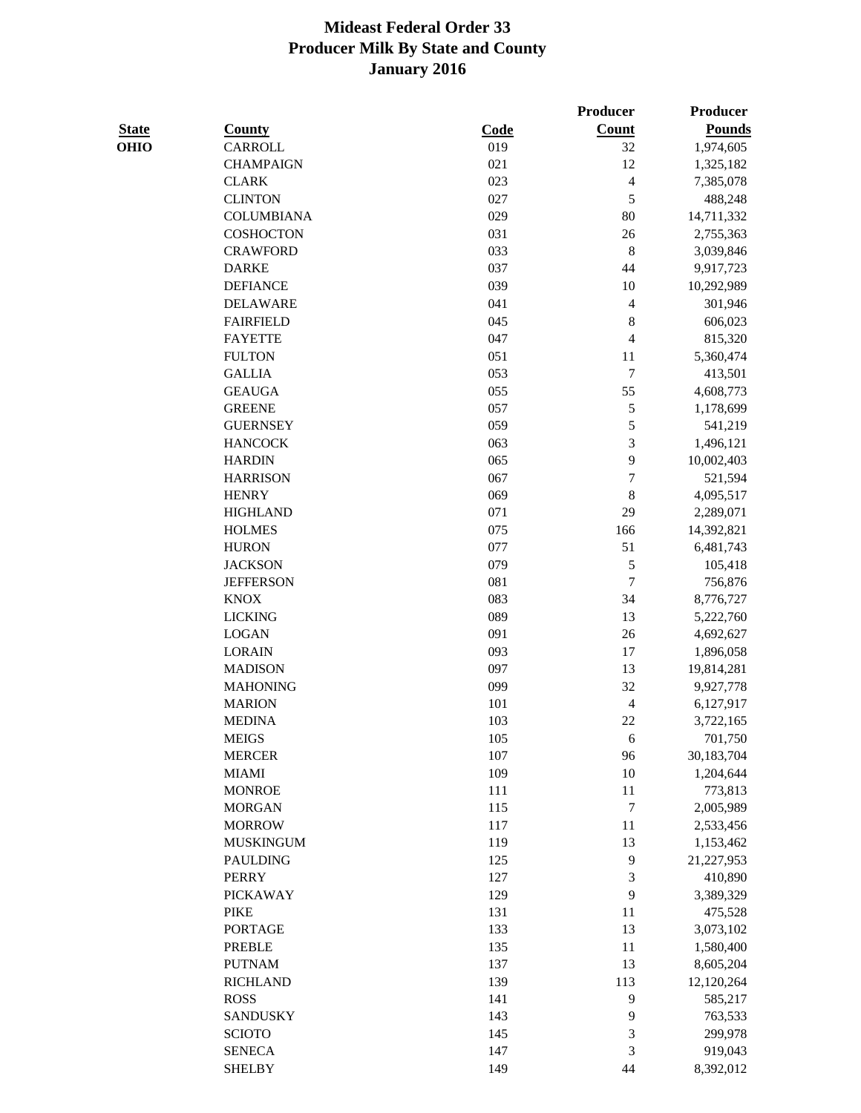| L<br>u<br>۰.<br>w<br>٧ |
|------------------------|
|------------------------|

|              |                   |      | Producer                 | Producer      |
|--------------|-------------------|------|--------------------------|---------------|
| <b>State</b> | <b>County</b>     | Code | Count                    | <b>Pounds</b> |
| OHIO         | <b>CARROLL</b>    | 019  | 32                       | 1,974,605     |
|              | <b>CHAMPAIGN</b>  | 021  | 12                       | 1,325,182     |
|              | <b>CLARK</b>      | 023  | $\overline{\mathcal{L}}$ | 7,385,078     |
|              | <b>CLINTON</b>    | 027  | 5                        | 488,248       |
|              | <b>COLUMBIANA</b> | 029  | 80                       | 14,711,332    |
|              | <b>COSHOCTON</b>  | 031  | 26                       | 2,755,363     |
|              | <b>CRAWFORD</b>   | 033  | $\,8\,$                  | 3,039,846     |
|              | <b>DARKE</b>      | 037  | 44                       | 9,917,723     |
|              | <b>DEFIANCE</b>   | 039  | 10                       | 10,292,989    |
|              | <b>DELAWARE</b>   | 041  | $\overline{4}$           | 301,946       |
|              | <b>FAIRFIELD</b>  | 045  | $\,$ 8 $\,$              | 606,023       |
|              | <b>FAYETTE</b>    | 047  | 4                        | 815,320       |
|              | <b>FULTON</b>     | 051  | 11                       | 5,360,474     |
|              | <b>GALLIA</b>     | 053  | 7                        | 413,501       |
|              | <b>GEAUGA</b>     | 055  | 55                       | 4,608,773     |
|              | <b>GREENE</b>     | 057  | 5                        | 1,178,699     |
|              | <b>GUERNSEY</b>   | 059  | 5                        | 541,219       |
|              | <b>HANCOCK</b>    | 063  | 3                        | 1,496,121     |
|              | <b>HARDIN</b>     | 065  | 9                        | 10,002,403    |
|              | <b>HARRISON</b>   | 067  | $\sqrt{ }$               | 521,594       |
|              | <b>HENRY</b>      | 069  | $\,8\,$                  | 4,095,517     |
|              | <b>HIGHLAND</b>   | 071  | 29                       | 2,289,071     |
|              | <b>HOLMES</b>     | 075  | 166                      | 14,392,821    |
|              | <b>HURON</b>      | 077  | 51                       | 6,481,743     |
|              | <b>JACKSON</b>    | 079  | 5                        | 105,418       |
|              | <b>JEFFERSON</b>  | 081  | $\overline{7}$           | 756,876       |
|              | <b>KNOX</b>       | 083  | 34                       | 8,776,727     |
|              | <b>LICKING</b>    | 089  | 13                       | 5,222,760     |
|              | <b>LOGAN</b>      | 091  | 26                       | 4,692,627     |
|              | <b>LORAIN</b>     | 093  | 17                       | 1,896,058     |
|              | <b>MADISON</b>    | 097  | 13                       | 19,814,281    |
|              | <b>MAHONING</b>   | 099  | 32                       | 9,927,778     |
|              | <b>MARION</b>     | 101  | 4                        | 6,127,917     |
|              | <b>MEDINA</b>     | 103  | 22                       | 3,722,165     |
|              | <b>MEIGS</b>      | 105  | 6                        | 701,750       |
|              | <b>MERCER</b>     | 107  | 96                       | 30,183,704    |
|              | <b>MIAMI</b>      | 109  | 10                       | 1,204,644     |
|              | <b>MONROE</b>     | 111  | 11                       | 773,813       |
|              | <b>MORGAN</b>     | 115  | $\tau$                   | 2,005,989     |
|              | <b>MORROW</b>     | 117  | 11                       | 2,533,456     |
|              | <b>MUSKINGUM</b>  | 119  | 13                       | 1,153,462     |
|              | <b>PAULDING</b>   | 125  | 9                        | 21,227,953    |
|              | <b>PERRY</b>      | 127  | 3                        | 410,890       |
|              | <b>PICKAWAY</b>   | 129  | 9                        | 3,389,329     |
|              | <b>PIKE</b>       | 131  | 11                       | 475,528       |
|              | <b>PORTAGE</b>    | 133  | 13                       | 3,073,102     |
|              | <b>PREBLE</b>     | 135  | 11                       | 1,580,400     |
|              | <b>PUTNAM</b>     | 137  | 13                       | 8,605,204     |
|              | <b>RICHLAND</b>   | 139  | 113                      | 12,120,264    |
|              | <b>ROSS</b>       | 141  | 9                        | 585,217       |
|              | <b>SANDUSKY</b>   | 143  | 9                        | 763,533       |
|              | <b>SCIOTO</b>     | 145  | $\sqrt{3}$               | 299,978       |
|              | <b>SENECA</b>     | 147  | $\mathfrak{Z}$           | 919,043       |
|              | <b>SHELBY</b>     | 149  | 44                       | 8,392,012     |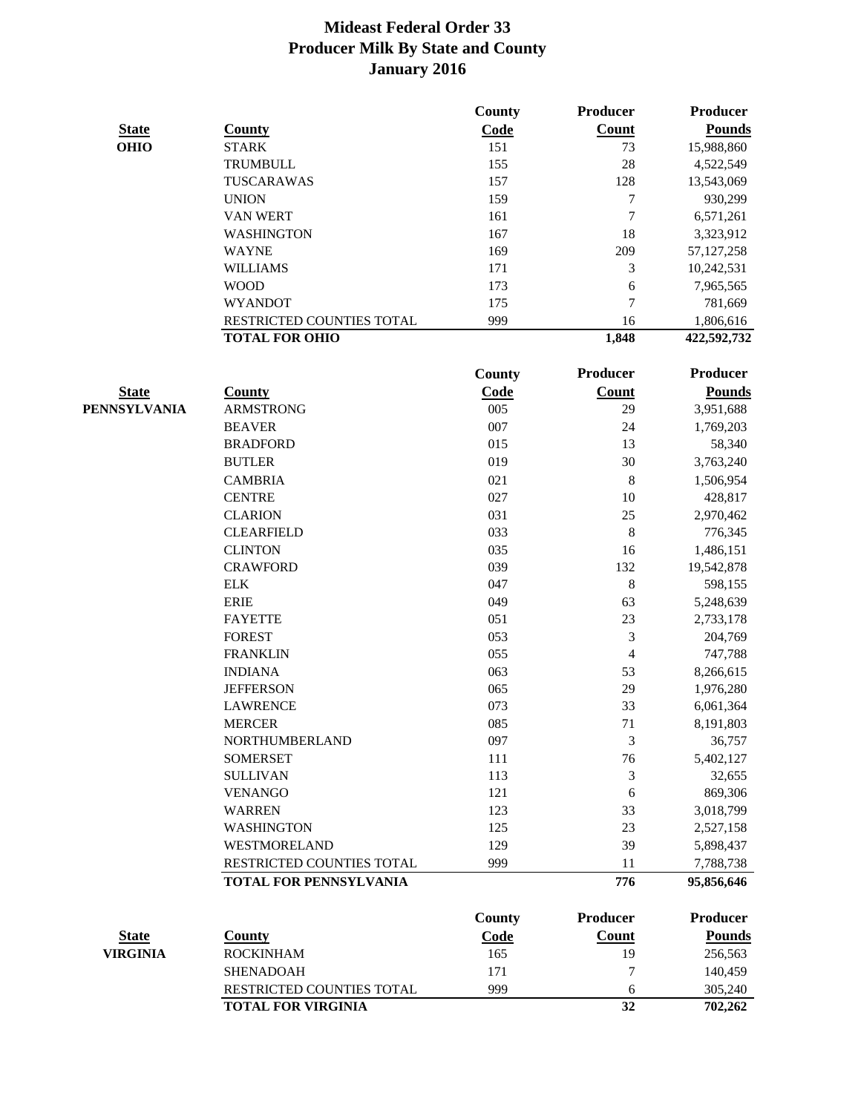|                 |                               | <b>County</b> | Producer        | Producer        |
|-----------------|-------------------------------|---------------|-----------------|-----------------|
| <b>State</b>    | <b>County</b>                 | Code          | <b>Count</b>    | <b>Pounds</b>   |
| <b>OHIO</b>     | <b>STARK</b>                  | 151           | 73              | 15,988,860      |
|                 | TRUMBULL                      | 155           | 28              | 4,522,549       |
|                 | TUSCARAWAS                    | 157           | 128             | 13,543,069      |
|                 | <b>UNION</b>                  | 159           | 7               | 930,299         |
|                 | <b>VAN WERT</b>               | 161           | 7               | 6,571,261       |
|                 | <b>WASHINGTON</b>             | 167           | 18              | 3,323,912       |
|                 | <b>WAYNE</b>                  | 169           | 209             | 57, 127, 258    |
|                 | <b>WILLIAMS</b>               | 171           | 3               | 10,242,531      |
|                 | <b>WOOD</b>                   | 173           | 6               | 7,965,565       |
|                 | <b>WYANDOT</b>                | 175           | 7               | 781,669         |
|                 | RESTRICTED COUNTIES TOTAL     | 999           | 16              | 1,806,616       |
|                 | <b>TOTAL FOR OHIO</b>         |               | 1,848           | 422,592,732     |
|                 |                               | <b>County</b> | Producer        | <b>Producer</b> |
| <b>State</b>    | <b>County</b>                 | <b>Code</b>   | <b>Count</b>    | <b>Pounds</b>   |
| PENNSYLVANIA    | <b>ARMSTRONG</b>              | 005           | 29              | 3,951,688       |
|                 | <b>BEAVER</b>                 | 007           | 24              | 1,769,203       |
|                 | <b>BRADFORD</b>               | 015           | 13              | 58,340          |
|                 | <b>BUTLER</b>                 | 019           | 30              | 3,763,240       |
|                 | <b>CAMBRIA</b>                | 021           | $\,8\,$         | 1,506,954       |
|                 | <b>CENTRE</b>                 | 027           | 10              | 428,817         |
|                 | <b>CLARION</b>                | 031           | 25              | 2,970,462       |
|                 | <b>CLEARFIELD</b>             | 033           | 8               | 776,345         |
|                 | <b>CLINTON</b>                | 035           | 16              | 1,486,151       |
|                 | <b>CRAWFORD</b>               | 039           | 132             | 19,542,878      |
|                 | <b>ELK</b>                    | 047           | $\,8\,$         | 598,155         |
|                 | <b>ERIE</b>                   | 049           | 63              | 5,248,639       |
|                 | <b>FAYETTE</b>                | 051           | 23              | 2,733,178       |
|                 | <b>FOREST</b>                 | 053           | 3               | 204,769         |
|                 | <b>FRANKLIN</b>               | 055           | 4               | 747,788         |
|                 | <b>INDIANA</b>                | 063           | 53              | 8,266,615       |
|                 | <b>JEFFERSON</b>              | 065           | 29              | 1,976,280       |
|                 | <b>LAWRENCE</b>               | 073           | 33              | 6,061,364       |
|                 | <b>MERCER</b>                 | 085           | 71              | 8,191,803       |
|                 | NORTHUMBERLAND                | 097           | 3               | 36,757          |
|                 | <b>SOMERSET</b>               | 111           | 76              | 5,402,127       |
|                 | <b>SULLIVAN</b>               | 113           | 3               | 32,655          |
|                 | <b>VENANGO</b>                | 121           | 6               | 869,306         |
|                 | <b>WARREN</b>                 | 123           | 33              | 3,018,799       |
|                 | <b>WASHINGTON</b>             | 125           | 23              | 2,527,158       |
|                 | <b>WESTMORELAND</b>           | 129           | 39              | 5,898,437       |
|                 | RESTRICTED COUNTIES TOTAL     | 999           | 11              | 7,788,738       |
|                 | <b>TOTAL FOR PENNSYLVANIA</b> |               | 776             | 95,856,646      |
|                 |                               | <b>County</b> | <b>Producer</b> | <b>Producer</b> |
| <b>State</b>    | <b>County</b>                 | Code          | <b>Count</b>    | <b>Pounds</b>   |
| <b>VIRGINIA</b> | <b>ROCKINHAM</b>              | 165           | 19              | 256,563         |
|                 | <b>SHENADOAH</b>              | 171           | 7               | 140,459         |
|                 |                               |               |                 |                 |

RESTRICTED COUNTIES TOTAL 999 6 305,240 **TOTAL FOR VIRGINIA 32 702,262**